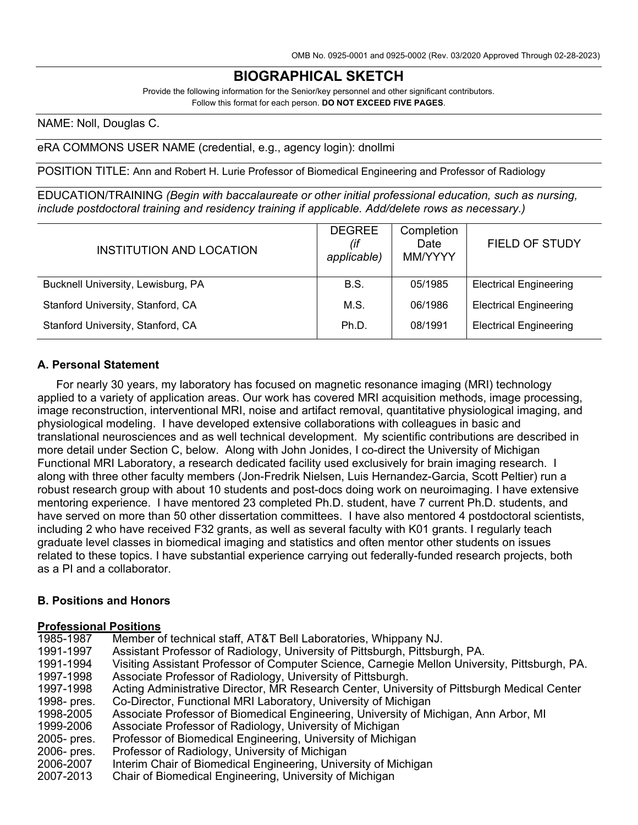# **BIOGRAPHICAL SKETCH**

Provide the following information for the Senior/key personnel and other significant contributors. Follow this format for each person. **DO NOT EXCEED FIVE PAGES**.

NAME: Noll, Douglas C.

eRA COMMONS USER NAME (credential, e.g., agency login): dnollmi

POSITION TITLE: Ann and Robert H. Lurie Professor of Biomedical Engineering and Professor of Radiology

EDUCATION/TRAINING *(Begin with baccalaureate or other initial professional education, such as nursing, include postdoctoral training and residency training if applicable. Add/delete rows as necessary.)*

| INSTITUTION AND LOCATION           | <b>DEGREE</b><br>(if<br>applicable) | Completion<br>Date<br>MM/YYYY | <b>FIELD OF STUDY</b>         |
|------------------------------------|-------------------------------------|-------------------------------|-------------------------------|
| Bucknell University, Lewisburg, PA | <b>B.S.</b>                         | 05/1985                       | <b>Electrical Engineering</b> |
| Stanford University, Stanford, CA  | M.S.                                | 06/1986                       | <b>Electrical Engineering</b> |
| Stanford University, Stanford, CA  | Ph.D.                               | 08/1991                       | <b>Electrical Engineering</b> |

#### **A. Personal Statement**

For nearly 30 years, my laboratory has focused on magnetic resonance imaging (MRI) technology applied to a variety of application areas. Our work has covered MRI acquisition methods, image processing, image reconstruction, interventional MRI, noise and artifact removal, quantitative physiological imaging, and physiological modeling. I have developed extensive collaborations with colleagues in basic and translational neurosciences and as well technical development. My scientific contributions are described in more detail under Section C, below. Along with John Jonides, I co-direct the University of Michigan Functional MRI Laboratory, a research dedicated facility used exclusively for brain imaging research. I along with three other faculty members (Jon-Fredrik Nielsen, Luis Hernandez-Garcia, Scott Peltier) run a robust research group with about 10 students and post-docs doing work on neuroimaging. I have extensive mentoring experience. I have mentored 23 completed Ph.D. student, have 7 current Ph.D. students, and have served on more than 50 other dissertation committees. I have also mentored 4 postdoctoral scientists, including 2 who have received F32 grants, as well as several faculty with K01 grants. I regularly teach graduate level classes in biomedical imaging and statistics and often mentor other students on issues related to these topics. I have substantial experience carrying out federally-funded research projects, both as a PI and a collaborator.

#### **B. Positions and Honors**

#### **Professional Positions**

| 1985-1987             | Member of technical staff, AT&T Bell Laboratories, Whippany NJ.                               |
|-----------------------|-----------------------------------------------------------------------------------------------|
| 1991-1997             | Assistant Professor of Radiology, University of Pittsburgh, Pittsburgh, PA.                   |
| 1991-1994             | Visiting Assistant Professor of Computer Science, Carnegie Mellon University, Pittsburgh, PA. |
| 1997-1998             | Associate Professor of Radiology, University of Pittsburgh.                                   |
| 1997-1998             | Acting Administrative Director, MR Research Center, University of Pittsburgh Medical Center   |
| 1998- pres.           | Co-Director, Functional MRI Laboratory, University of Michigan                                |
| 1998-2005             | Associate Professor of Biomedical Engineering, University of Michigan, Ann Arbor, MI          |
| 1999-2006             | Associate Professor of Radiology, University of Michigan                                      |
| 2005- pres.           | Professor of Biomedical Engineering, University of Michigan                                   |
| 2006- pres.           | Professor of Radiology, University of Michigan                                                |
| 2006-2007             | Interim Chair of Biomedical Engineering, University of Michigan                               |
| onn <del>e</del> ondo | Chair of Diamodical Engineering University of Michigan                                        |

2007-2013 Chair of Biomedical Engineering, University of Michigan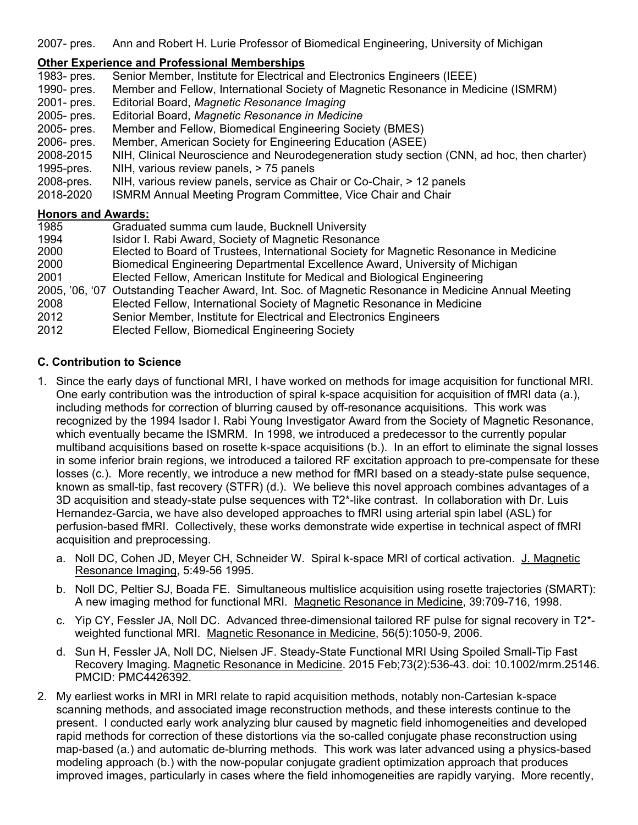2007- pres. Ann and Robert H. Lurie Professor of Biomedical Engineering, University of Michigan

## **Other Experience and Professional Memberships**

|                           | <u>UNIEI LADENEIICE ANU FTUIESSIUNAI MENNEISINDS</u>                                                 |
|---------------------------|------------------------------------------------------------------------------------------------------|
| 1983- pres.               | Senior Member, Institute for Electrical and Electronics Engineers (IEEE)                             |
| 1990- pres.               | Member and Fellow, International Society of Magnetic Resonance in Medicine (ISMRM)                   |
| 2001- pres.               | Editorial Board, Magnetic Resonance Imaging                                                          |
| 2005- pres.               | Editorial Board, Magnetic Resonance in Medicine                                                      |
| 2005- pres.               | Member and Fellow, Biomedical Engineering Society (BMES)                                             |
| 2006- pres.               | Member, American Society for Engineering Education (ASEE)                                            |
| 2008-2015                 | NIH, Clinical Neuroscience and Neurodegeneration study section (CNN, ad hoc, then charter)           |
| 1995-pres.                | NIH, various review panels, > 75 panels                                                              |
| 2008-pres.                | NIH, various review panels, service as Chair or Co-Chair, > 12 panels                                |
| 2018-2020                 | <b>ISMRM Annual Meeting Program Committee, Vice Chair and Chair</b>                                  |
| <b>Honors and Awards:</b> |                                                                                                      |
| 1985                      | Graduated summa cum laude, Bucknell University                                                       |
| 1994                      | Isidor I. Rabi Award, Society of Magnetic Resonance                                                  |
| 2000                      | Elected to Board of Trustees, International Society for Magnetic Resonance in Medicine               |
| 2000                      | Biomedical Engineering Departmental Excellence Award, University of Michigan                         |
| 2001                      | Elected Fellow, American Institute for Medical and Biological Engineering                            |
|                           | 2005, '06, '07 Outstanding Teacher Award, Int. Soc. of Magnetic Resonance in Medicine Annual Meeting |
| 2008                      | Elected Fellow, International Society of Magnetic Resonance in Medicine                              |
| 2012                      | Senior Member, Institute for Electrical and Electronics Engineers                                    |
| 2012                      | Elected Fellow, Biomedical Engineering Society                                                       |
|                           |                                                                                                      |

#### **C. Contribution to Science**

- 1. Since the early days of functional MRI, I have worked on methods for image acquisition for functional MRI. One early contribution was the introduction of spiral k-space acquisition for acquisition of fMRI data (a.), including methods for correction of blurring caused by off-resonance acquisitions. This work was recognized by the 1994 Isador I. Rabi Young Investigator Award from the Society of Magnetic Resonance, which eventually became the ISMRM. In 1998, we introduced a predecessor to the currently popular multiband acquisitions based on rosette k-space acquisitions (b.). In an effort to eliminate the signal losses in some inferior brain regions, we introduced a tailored RF excitation approach to pre-compensate for these losses (c.). More recently, we introduce a new method for fMRI based on a steady-state pulse sequence, known as small-tip, fast recovery (STFR) (d.). We believe this novel approach combines advantages of a 3D acquisition and steady-state pulse sequences with T2\*-like contrast. In collaboration with Dr. Luis Hernandez-Garcia, we have also developed approaches to fMRI using arterial spin label (ASL) for perfusion-based fMRI. Collectively, these works demonstrate wide expertise in technical aspect of fMRI acquisition and preprocessing.
	- a. Noll DC, Cohen JD, Meyer CH, Schneider W. Spiral k-space MRI of cortical activation. J. Magnetic Resonance Imaging, 5:49-56 1995.
	- b. Noll DC, Peltier SJ, Boada FE. Simultaneous multislice acquisition using rosette trajectories (SMART): A new imaging method for functional MRI. Magnetic Resonance in Medicine, 39:709-716, 1998.
	- c. Yip CY, Fessler JA, Noll DC. Advanced three-dimensional tailored RF pulse for signal recovery in T2\* weighted functional MRI. Magnetic Resonance in Medicine, 56(5):1050-9, 2006.
	- d. Sun H, Fessler JA, Noll DC, Nielsen JF. Steady-State Functional MRI Using Spoiled Small-Tip Fast Recovery Imaging. Magnetic Resonance in Medicine. 2015 Feb;73(2):536-43. doi: 10.1002/mrm.25146. PMCID: PMC4426392.
- 2. My earliest works in MRI in MRI relate to rapid acquisition methods, notably non-Cartesian k-space scanning methods, and associated image reconstruction methods, and these interests continue to the present. I conducted early work analyzing blur caused by magnetic field inhomogeneities and developed rapid methods for correction of these distortions via the so-called conjugate phase reconstruction using map-based (a.) and automatic de-blurring methods. This work was later advanced using a physics-based modeling approach (b.) with the now-popular conjugate gradient optimization approach that produces improved images, particularly in cases where the field inhomogeneities are rapidly varying. More recently,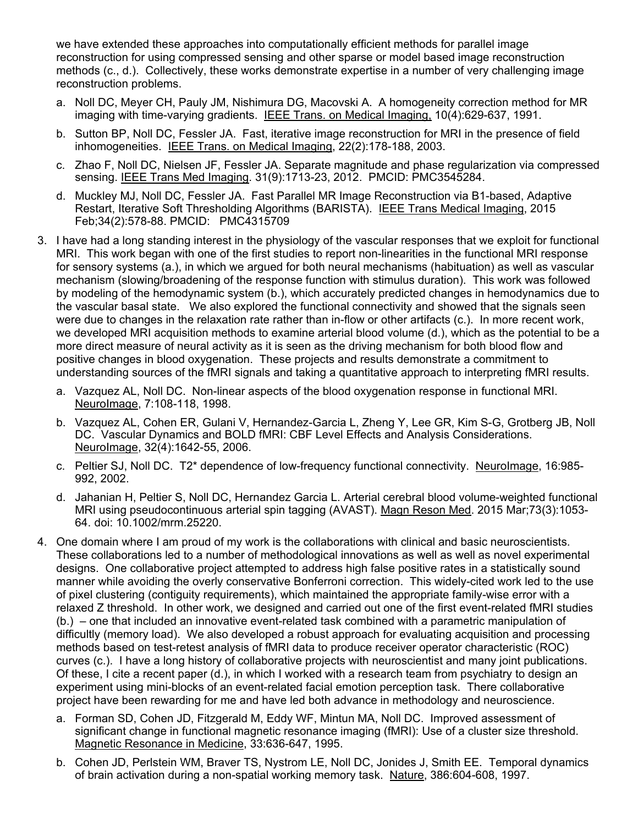we have extended these approaches into computationally efficient methods for parallel image reconstruction for using compressed sensing and other sparse or model based image reconstruction methods (c., d.). Collectively, these works demonstrate expertise in a number of very challenging image reconstruction problems.

- a. Noll DC, Meyer CH, Pauly JM, Nishimura DG, Macovski A. A homogeneity correction method for MR imaging with time-varying gradients. IEEE Trans. on Medical Imaging, 10(4):629-637, 1991.
- b. Sutton BP, Noll DC, Fessler JA. Fast, iterative image reconstruction for MRI in the presence of field inhomogeneities. IEEE Trans. on Medical Imaging, 22(2):178-188, 2003.
- c. Zhao F, Noll DC, Nielsen JF, Fessler JA. Separate magnitude and phase regularization via compressed sensing. IEEE Trans Med Imaging. 31(9):1713-23, 2012. PMCID: PMC3545284.
- d. Muckley MJ, Noll DC, Fessler JA. Fast Parallel MR Image Reconstruction via B1-based, Adaptive Restart, Iterative Soft Thresholding Algorithms (BARISTA). IEEE Trans Medical Imaging, 2015 Feb;34(2):578-88. PMCID: PMC4315709
- 3. I have had a long standing interest in the physiology of the vascular responses that we exploit for functional MRI. This work began with one of the first studies to report non-linearities in the functional MRI response for sensory systems (a.), in which we argued for both neural mechanisms (habituation) as well as vascular mechanism (slowing/broadening of the response function with stimulus duration). This work was followed by modeling of the hemodynamic system (b.), which accurately predicted changes in hemodynamics due to the vascular basal state. We also explored the functional connectivity and showed that the signals seen were due to changes in the relaxation rate rather than in-flow or other artifacts (c.). In more recent work, we developed MRI acquisition methods to examine arterial blood volume (d.), which as the potential to be a more direct measure of neural activity as it is seen as the driving mechanism for both blood flow and positive changes in blood oxygenation. These projects and results demonstrate a commitment to understanding sources of the fMRI signals and taking a quantitative approach to interpreting fMRI results.
	- a. Vazquez AL, Noll DC. Non-linear aspects of the blood oxygenation response in functional MRI. NeuroImage, 7:108-118, 1998.
	- b. Vazquez AL, Cohen ER, Gulani V, Hernandez-Garcia L, Zheng Y, Lee GR, Kim S-G, Grotberg JB, Noll DC. Vascular Dynamics and BOLD fMRI: CBF Level Effects and Analysis Considerations. NeuroImage, 32(4):1642-55, 2006.
	- c. Peltier SJ, Noll DC. T2\* dependence of low-frequency functional connectivity. NeuroImage, 16:985- 992, 2002.
	- d. Jahanian H, Peltier S, Noll DC, Hernandez Garcia L. Arterial cerebral blood volume-weighted functional MRI using pseudocontinuous arterial spin tagging (AVAST). Magn Reson Med. 2015 Mar;73(3):1053-64. doi: 10.1002/mrm.25220.
- 4. One domain where I am proud of my work is the collaborations with clinical and basic neuroscientists. These collaborations led to a number of methodological innovations as well as well as novel experimental designs. One collaborative project attempted to address high false positive rates in a statistically sound manner while avoiding the overly conservative Bonferroni correction. This widely-cited work led to the use of pixel clustering (contiguity requirements), which maintained the appropriate family-wise error with a relaxed Z threshold. In other work, we designed and carried out one of the first event-related fMRI studies (b.) – one that included an innovative event-related task combined with a parametric manipulation of difficultly (memory load). We also developed a robust approach for evaluating acquisition and processing methods based on test-retest analysis of fMRI data to produce receiver operator characteristic (ROC) curves (c.). I have a long history of collaborative projects with neuroscientist and many joint publications. Of these, I cite a recent paper (d.), in which I worked with a research team from psychiatry to design an experiment using mini-blocks of an event-related facial emotion perception task. There collaborative project have been rewarding for me and have led both advance in methodology and neuroscience.
	- a. Forman SD, Cohen JD, Fitzgerald M, Eddy WF, Mintun MA, Noll DC. Improved assessment of significant change in functional magnetic resonance imaging (fMRI): Use of a cluster size threshold. Magnetic Resonance in Medicine, 33:636-647, 1995.
	- b. Cohen JD, Perlstein WM, Braver TS, Nystrom LE, Noll DC, Jonides J, Smith EE. Temporal dynamics of brain activation during a non-spatial working memory task. Nature, 386:604-608, 1997.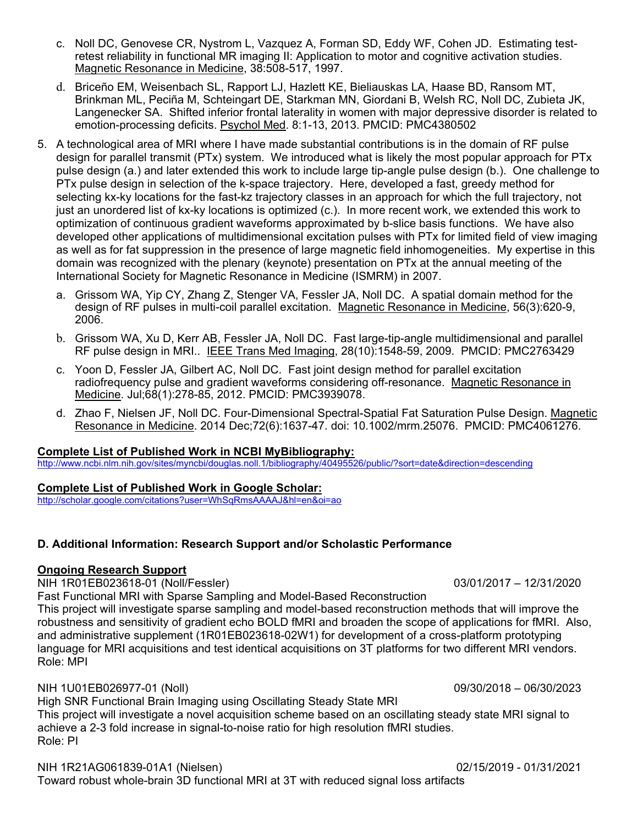- c. Noll DC, Genovese CR, Nystrom L, Vazquez A, Forman SD, Eddy WF, Cohen JD. Estimating testretest reliability in functional MR imaging II: Application to motor and cognitive activation studies. Magnetic Resonance in Medicine, 38:508-517, 1997.
- d. Briceño EM, Weisenbach SL, Rapport LJ, Hazlett KE, Bieliauskas LA, Haase BD, Ransom MT, Brinkman ML, Peciña M, Schteingart DE, Starkman MN, Giordani B, Welsh RC, Noll DC, Zubieta JK, Langenecker SA. Shifted inferior frontal laterality in women with major depressive disorder is related to emotion-processing deficits. Psychol Med. 8:1-13, 2013. PMCID: PMC4380502
- 5. A technological area of MRI where I have made substantial contributions is in the domain of RF pulse design for parallel transmit (PTx) system. We introduced what is likely the most popular approach for PTx pulse design (a.) and later extended this work to include large tip-angle pulse design (b.). One challenge to PTx pulse design in selection of the k-space trajectory. Here, developed a fast, greedy method for selecting kx-ky locations for the fast-kz trajectory classes in an approach for which the full trajectory, not just an unordered list of kx-ky locations is optimized (c.). In more recent work, we extended this work to optimization of continuous gradient waveforms approximated by b-slice basis functions. We have also developed other applications of multidimensional excitation pulses with PTx for limited field of view imaging as well as for fat suppression in the presence of large magnetic field inhomogeneities. My expertise in this domain was recognized with the plenary (keynote) presentation on PTx at the annual meeting of the International Society for Magnetic Resonance in Medicine (ISMRM) in 2007.
	- a. Grissom WA, Yip CY, Zhang Z, Stenger VA, Fessler JA, Noll DC. A spatial domain method for the design of RF pulses in multi-coil parallel excitation. Magnetic Resonance in Medicine, 56(3):620-9, 2006.
	- b. Grissom WA, Xu D, Kerr AB, Fessler JA, Noll DC. [Fast large-tip-angle multidimensional and parallel](http://www.ncbi.nlm.nih.gov/pubmed/19447704?ordinalpos=3&itool=EntrezSystem2.PEntrez.Pubmed.Pubmed_ResultsPanel.Pubmed_DefaultReportPanel.Pubmed_RVDocSum)  [RF pulse design in MRI..](http://www.ncbi.nlm.nih.gov/pubmed/19447704?ordinalpos=3&itool=EntrezSystem2.PEntrez.Pubmed.Pubmed_ResultsPanel.Pubmed_DefaultReportPanel.Pubmed_RVDocSum) IEEE Trans Med Imaging, 28(10):1548-59, 2009. PMCID: PMC2763429
	- c. Yoon D, Fessler JA, Gilbert AC, Noll DC. Fast joint design method for parallel excitation radiofrequency pulse and gradient waveforms considering off-resonance. Magnetic Resonance in Medicine. Jul;68(1):278-85, 2012. PMCID: PMC3939078.
	- d. Zhao F, Nielsen JF, Noll DC. Four-Dimensional Spectral-Spatial Fat Saturation Pulse Design. Magnetic Resonance in Medicine. 2014 Dec;72(6):1637-47. doi: 10.1002/mrm.25076. PMCID: PMC4061276.

### **Complete List of Published Work in NCBI MyBibliography:**

<http://www.ncbi.nlm.nih.gov/sites/myncbi/douglas.noll.1/bibliography/40495526/public/?sort=date&direction=descending>

#### **Complete List of Published Work in Google Scholar:**

<http://scholar.google.com/citations?user=WhSqRmsAAAAJ&hl=en&oi=ao>

#### **D. Additional Information: Research Support and/or Scholastic Performance**

#### **Ongoing Research Support**

NIH 1R01EB023618-01 (Noll/Fessler) 03/01/2017 – 12/31/2020

Fast Functional MRI with Sparse Sampling and Model-Based Reconstruction

This project will investigate sparse sampling and model-based reconstruction methods that will improve the robustness and sensitivity of gradient echo BOLD fMRI and broaden the scope of applications for fMRI. Also, and administrative supplement (1R01EB023618-02W1) for development of a cross-platform prototyping language for MRI acquisitions and test identical acquisitions on 3T platforms for two different MRI vendors. Role: MPI

#### NIH 1U01EB026977-01 (Noll) 09/30/2018 – 06/30/2023

High SNR Functional Brain Imaging using Oscillating Steady State MRI

This project will investigate a novel acquisition scheme based on an oscillating steady state MRI signal to achieve a 2-3 fold increase in signal-to-noise ratio for high resolution fMRI studies. Role: PI

#### NIH 1R21AG061839-01A1 (Nielsen) 02/15/2019 - 01/31/2021

Toward robust whole-brain 3D functional MRI at 3T with reduced signal loss artifacts